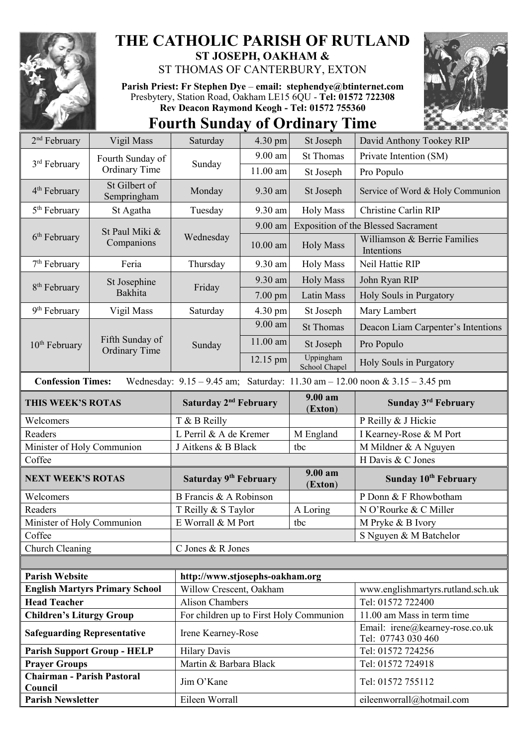

## **THE CATHOLIC PARISH OF RUTLAND ST JOSEPH, OAKHAM &**

ST THOMAS OF CANTERBURY, EXTON

**Parish Priest: Fr Stephen Dye** – **[email: stephendye@btinternet.com](mailto:email:%20%20stephendye@btinternet.com)** Presbytery, Station Road, Oakham LE15 6QU - **Tel: 01572 722308 Rev Deacon Raymond Keogh - Tel: 01572 755360**

**Fourth Sunday of Ordinary Time**



| 2 <sup>nd</sup> February                     | Vigil Mass                                                                                                      | Saturday                                | 4.30 pm            | St Joseph                  | David Anthony Tookey RIP                              |  |  |
|----------------------------------------------|-----------------------------------------------------------------------------------------------------------------|-----------------------------------------|--------------------|----------------------------|-------------------------------------------------------|--|--|
| 3 <sup>rd</sup> February                     | Fourth Sunday of<br><b>Ordinary Time</b>                                                                        | Sunday                                  | $9.00$ am          | <b>St Thomas</b>           | Private Intention (SM)                                |  |  |
|                                              |                                                                                                                 |                                         | $11.00$ am         | St Joseph                  | Pro Populo                                            |  |  |
| 4 <sup>th</sup> February                     | St Gilbert of<br>Sempringham                                                                                    | Monday                                  | $9.30$ am          | St Joseph                  | Service of Word & Holy Communion                      |  |  |
| 5 <sup>th</sup> February                     | St Agatha                                                                                                       | Tuesday                                 | 9.30 am            | <b>Holy Mass</b>           | Christine Carlin RIP                                  |  |  |
|                                              | St Paul Miki &<br>Companions                                                                                    | Wednesday                               | 9.00 am            |                            | <b>Exposition of the Blessed Sacrament</b>            |  |  |
| $6th$ February                               |                                                                                                                 |                                         | $10.00$ am         | <b>Holy Mass</b>           | Williamson & Berrie Families<br>Intentions            |  |  |
| 7 <sup>th</sup> February                     | Feria                                                                                                           | Thursday                                | 9.30 am            | <b>Holy Mass</b>           | Neil Hattie RIP                                       |  |  |
|                                              | St Josephine<br>Bakhita                                                                                         | Friday                                  | 9.30 am            | <b>Holy Mass</b>           | John Ryan RIP                                         |  |  |
| 8 <sup>th</sup> February                     |                                                                                                                 |                                         | 7.00 pm            | <b>Latin Mass</b>          | Holy Souls in Purgatory                               |  |  |
| 9 <sup>th</sup> February                     | Vigil Mass                                                                                                      | Saturday                                | 4.30 pm            | St Joseph                  | Mary Lambert                                          |  |  |
|                                              | Fifth Sunday of<br><b>Ordinary Time</b>                                                                         | Sunday                                  | 9.00 am            | <b>St Thomas</b>           | Deacon Liam Carpenter's Intentions                    |  |  |
| 10 <sup>th</sup> February                    |                                                                                                                 |                                         | 11.00 am           | St Joseph                  | Pro Populo                                            |  |  |
|                                              |                                                                                                                 |                                         | $12.15 \text{ pm}$ | Uppingham<br>School Chapel | Holy Souls in Purgatory                               |  |  |
|                                              | <b>Confession Times:</b><br>Wednesday: $9.15 - 9.45$ am; Saturday: $11.30$ am $- 12.00$ noon & $3.15 - 3.45$ pm |                                         |                    |                            |                                                       |  |  |
| THIS WEEK'S ROTAS                            |                                                                                                                 | Saturday 2 <sup>nd</sup> February       |                    | 9.00 am<br>(Exton)         | <b>Sunday 3rd February</b>                            |  |  |
| Welcomers                                    |                                                                                                                 | T & B Reilly                            |                    |                            |                                                       |  |  |
|                                              |                                                                                                                 |                                         |                    |                            | P Reilly & J Hickie                                   |  |  |
| Readers                                      |                                                                                                                 | L Perril & A de Kremer                  |                    | M England                  | I Kearney-Rose & M Port                               |  |  |
| Minister of Holy Communion                   |                                                                                                                 | J Aitkens & B Black                     |                    | tbc                        | M Mildner & A Nguyen                                  |  |  |
| Coffee                                       |                                                                                                                 |                                         |                    |                            | H Davis & C Jones                                     |  |  |
| <b>NEXT WEEK'S ROTAS</b>                     |                                                                                                                 | Saturday 9 <sup>th</sup> February       |                    | 9.00 am<br>(Exton)         | Sunday 10 <sup>th</sup> February                      |  |  |
| Welcomers                                    |                                                                                                                 | B Francis & A Robinson                  |                    |                            | P Donn & F Rhowbotham                                 |  |  |
| Readers                                      |                                                                                                                 | T Reilly & S Taylor                     |                    | A Loring                   | N O'Rourke & C Miller                                 |  |  |
| Minister of Holy Communion                   |                                                                                                                 | E Worrall & M Port                      |                    | tbc                        | M Pryke & B Ivory                                     |  |  |
| Coffee                                       |                                                                                                                 |                                         |                    |                            | S Nguyen & M Batchelor                                |  |  |
| Church Cleaning                              |                                                                                                                 | C Jones & R Jones                       |                    |                            |                                                       |  |  |
|                                              |                                                                                                                 |                                         |                    |                            |                                                       |  |  |
| <b>Parish Website</b>                        |                                                                                                                 | http://www.stjosephs-oakham.org         |                    |                            |                                                       |  |  |
|                                              | <b>English Martyrs Primary School</b>                                                                           | Willow Crescent, Oakham                 |                    |                            | www.englishmartyrs.rutland.sch.uk                     |  |  |
| <b>Head Teacher</b>                          |                                                                                                                 | <b>Alison Chambers</b>                  |                    |                            | Tel: 01572 722400                                     |  |  |
| <b>Children's Liturgy Group</b>              |                                                                                                                 | For children up to First Holy Communion |                    |                            | 11.00 am Mass in term time                            |  |  |
| <b>Safeguarding Representative</b>           |                                                                                                                 | Irene Kearney-Rose                      |                    |                            | Email: irene@kearney-rose.co.uk<br>Tel: 07743 030 460 |  |  |
| <b>Parish Support Group - HELP</b>           |                                                                                                                 | <b>Hilary Davis</b>                     |                    |                            | Tel: 01572 724256                                     |  |  |
| <b>Prayer Groups</b>                         |                                                                                                                 | Martin & Barbara Black                  |                    |                            | Tel: 01572 724918                                     |  |  |
| <b>Chairman - Parish Pastoral</b><br>Council |                                                                                                                 | Jim O'Kane                              |                    |                            | Tel: 01572 755112                                     |  |  |